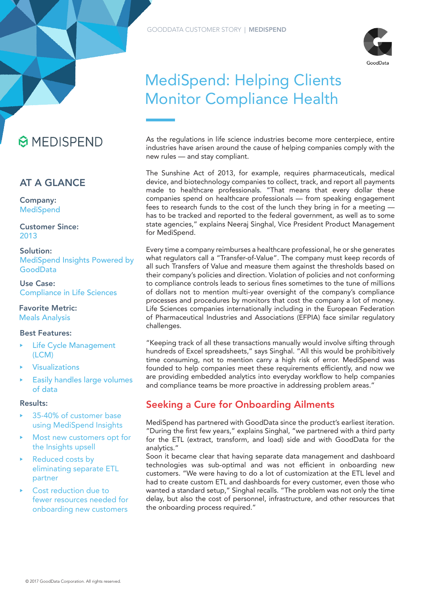

# MediSpend: Helping Clients Monitor Compliance Health

As the regulations in life science industries become more centerpiece, entire industries have arisen around the cause of helping companies comply with the new rules — and stay compliant.

The Sunshine Act of 2013, for example, requires pharmaceuticals, medical device, and biotechnology companies to collect, track, and report all payments made to healthcare professionals. "That means that every dollar these companies spend on healthcare professionals — from speaking engagement fees to research funds to the cost of the lunch they bring in for a meeting has to be tracked and reported to the federal government, as well as to some state agencies," explains Neeraj Singhal, Vice President Product Management for MediSpend.

Every time a company reimburses a healthcare professional, he or she generates what regulators call a "Transfer-of-Value". The company must keep records of all such Transfers of Value and measure them against the thresholds based on their company's policies and direction. Violation of policies and not conforming to compliance controls leads to serious fines sometimes to the tune of millions of dollars not to mention multi-year oversight of the company's compliance processes and procedures by monitors that cost the company a lot of money. Life Sciences companies internationally including in the European Federation of Pharmaceutical Industries and Associations (EFPIA) face similar regulatory challenges.

"Keeping track of all these transactions manually would involve sifting through hundreds of Excel spreadsheets," says Singhal. "All this would be prohibitively time consuming, not to mention carry a high risk of error. MediSpend was founded to help companies meet these requirements efficiently, and now we are providing embedded analytics into everyday workflow to help companies and compliance teams be more proactive in addressing problem areas."

# Seeking a Cure for Onboarding Ailments

MediSpend has partnered with GoodData since the product's earliest iteration. "During the first few years," explains Singhal, "we partnered with a third party for the ETL (extract, transform, and load) side and with GoodData for the analytics."

Soon it became clear that having separate data management and dashboard technologies was sub-optimal and was not efficient in onboarding new customers. "We were having to do a lot of customization at the ETL level and had to create custom ETL and dashboards for every customer, even those who wanted a standard setup," Singhal recalls. "The problem was not only the time delay, but also the cost of personnel, infrastructure, and other resources that the onboarding process required."



## AT A GLANCE

Company: **MediSpend** 

Customer Since: 2013

Solution: MediSpend Insights Powered by GoodData

Use Case: Compliance in Life Sciences

Favorite Metric: Meals Analysis

## Best Features:

- Life Cycle Management (LCM)
- **Visualizations**
- Easily handles large volumes of data

## Results:

- ‣ 35-40% of customer base using MediSpend Insights
- Most new customers opt for the Insights upsell
- ▶ Reduced costs by eliminating separate ETL partner
- Cost reduction due to fewer resources needed for onboarding new customers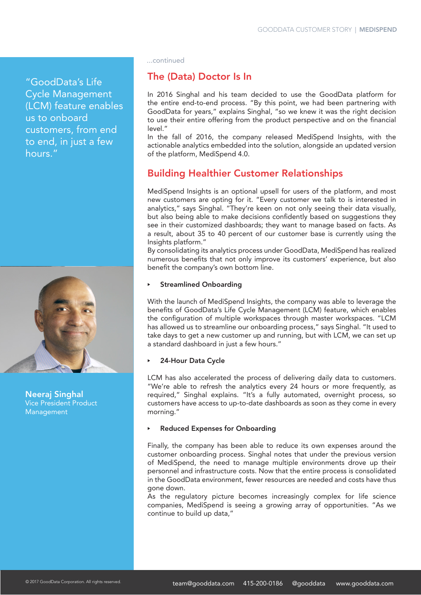"GoodData's Life Cycle Management (LCM) feature enables us to onboard customers, from end to end, in just a few hours."



Neeraj Singhal Vice President Product Management

...continued

## The (Data) Doctor Is In

In 2016 Singhal and his team decided to use the GoodData platform for the entire end-to-end process. "By this point, we had been partnering with GoodData for years," explains Singhal, "so we knew it was the right decision to use their entire offering from the product perspective and on the financial level."

In the fall of 2016, the company released MediSpend Insights, with the actionable analytics embedded into the solution, alongside an updated version of the platform, MediSpend 4.0.

# Building Healthier Customer Relationships

MediSpend Insights is an optional upsell for users of the platform, and most new customers are opting for it. "Every customer we talk to is interested in analytics," says Singhal. "They're keen on not only seeing their data visually, but also being able to make decisions confidently based on suggestions they see in their customized dashboards; they want to manage based on facts. As a result, about 35 to 40 percent of our customer base is currently using the Insights platform."

By consolidating its analytics process under GoodData, MediSpend has realized numerous benefits that not only improve its customers' experience, but also benefit the company's own bottom line.

#### **Streamlined Onboarding**

With the launch of MediSpend Insights, the company was able to leverage the benefits of GoodData's Life Cycle Management (LCM) feature, which enables the configuration of multiple workspaces through master workspaces. "LCM has allowed us to streamline our onboarding process," says Singhal. "It used to take days to get a new customer up and running, but with LCM, we can set up a standard dashboard in just a few hours."

## 24-Hour Data Cycle

LCM has also accelerated the process of delivering daily data to customers. "We're able to refresh the analytics every 24 hours or more frequently, as required," Singhal explains. "It's a fully automated, overnight process, so customers have access to up-to-date dashboards as soon as they come in every morning."

#### **Reduced Expenses for Onboarding**

Finally, the company has been able to reduce its own expenses around the customer onboarding process. Singhal notes that under the previous version of MediSpend, the need to manage multiple environments drove up their personnel and infrastructure costs. Now that the entire process is consolidated in the GoodData environment, fewer resources are needed and costs have thus gone down.

As the regulatory picture becomes increasingly complex for life science companies, MediSpend is seeing a growing array of opportunities. "As we continue to build up data,"